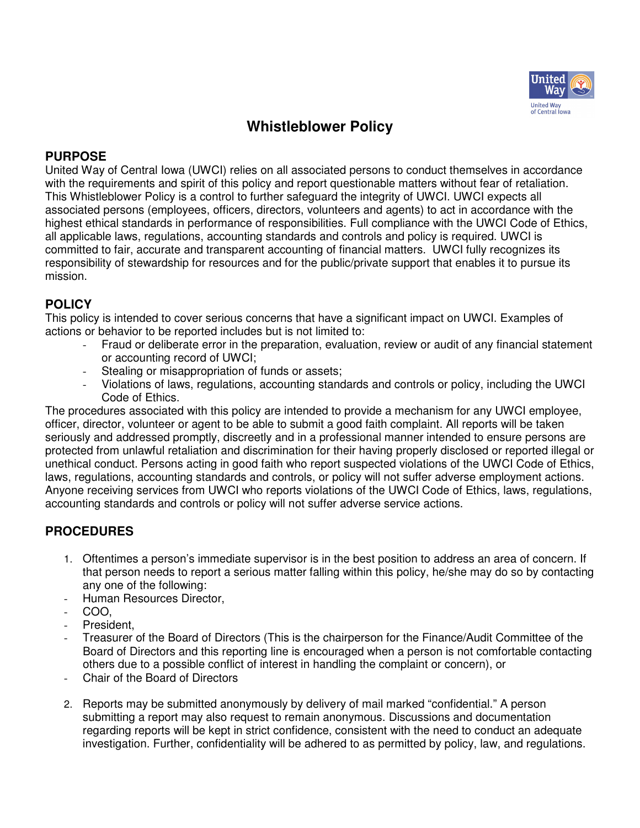

## **Whistleblower Policy**

## **PURPOSE**

United Way of Central Iowa (UWCI) relies on all associated persons to conduct themselves in accordance with the requirements and spirit of this policy and report questionable matters without fear of retaliation. This Whistleblower Policy is a control to further safeguard the integrity of UWCI. UWCI expects all associated persons (employees, officers, directors, volunteers and agents) to act in accordance with the highest ethical standards in performance of responsibilities. Full compliance with the UWCI Code of Ethics, all applicable laws, regulations, accounting standards and controls and policy is required. UWCI is committed to fair, accurate and transparent accounting of financial matters. UWCI fully recognizes its responsibility of stewardship for resources and for the public/private support that enables it to pursue its mission.

## **POLICY**

This policy is intended to cover serious concerns that have a significant impact on UWCI. Examples of actions or behavior to be reported includes but is not limited to:

- Fraud or deliberate error in the preparation, evaluation, review or audit of any financial statement or accounting record of UWCI;
- Stealing or misappropriation of funds or assets;
- Violations of laws, regulations, accounting standards and controls or policy, including the UWCI Code of Ethics.

The procedures associated with this policy are intended to provide a mechanism for any UWCI employee, officer, director, volunteer or agent to be able to submit a good faith complaint. All reports will be taken seriously and addressed promptly, discreetly and in a professional manner intended to ensure persons are protected from unlawful retaliation and discrimination for their having properly disclosed or reported illegal or unethical conduct. Persons acting in good faith who report suspected violations of the UWCI Code of Ethics, laws, regulations, accounting standards and controls, or policy will not suffer adverse employment actions. Anyone receiving services from UWCI who reports violations of the UWCI Code of Ethics, laws, regulations, accounting standards and controls or policy will not suffer adverse service actions.

## **PROCEDURES**

- 1. Oftentimes a person's immediate supervisor is in the best position to address an area of concern. If that person needs to report a serious matter falling within this policy, he/she may do so by contacting any one of the following:
- Human Resources Director,
- COO,
- President,
- Treasurer of the Board of Directors (This is the chairperson for the Finance/Audit Committee of the Board of Directors and this reporting line is encouraged when a person is not comfortable contacting others due to a possible conflict of interest in handling the complaint or concern), or
- Chair of the Board of Directors
- 2. Reports may be submitted anonymously by delivery of mail marked "confidential." A person submitting a report may also request to remain anonymous. Discussions and documentation regarding reports will be kept in strict confidence, consistent with the need to conduct an adequate investigation. Further, confidentiality will be adhered to as permitted by policy, law, and regulations.